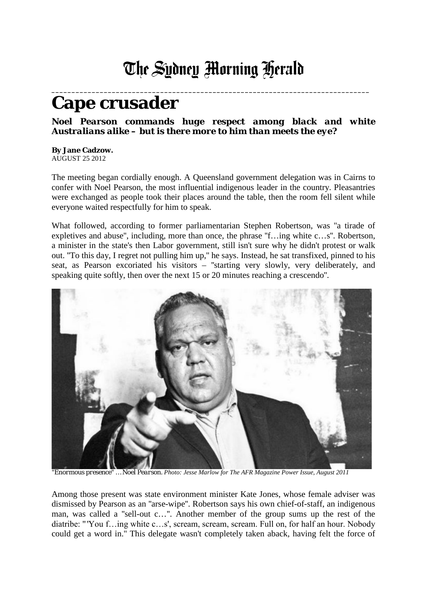## The Sydney Morning Herald

## **\_\_\_\_\_\_\_\_\_\_\_\_\_\_\_\_\_\_\_\_\_\_\_\_\_\_\_\_\_\_\_\_\_\_\_\_\_\_\_\_\_\_\_\_\_\_\_\_\_\_\_\_\_\_\_\_\_\_\_\_\_\_\_\_\_\_\_\_\_\_\_\_\_\_\_\_\_\_\_ Cape crusader**

## *Noel Pearson commands huge respect among black and white Australians alike – but is there more to him than meets the eye?*

**By Jane Cadzow.** AUGUST 25 2012

The meeting began cordially enough. A Queensland government delegation was in Cairns to confer with Noel Pearson, the most influential indigenous leader in the country. Pleasantries were exchanged as people took their places around the table, then the room fell silent while everyone waited respectfully for him to speak.

What followed, according to former parliamentarian Stephen Robertson, was "a tirade of expletives and abuse'', including, more than once, the phrase ''f…ing white c…s''. Robertson, a minister in the state's then Labor government, still isn't sure why he didn't protest or walk out. ''To this day, I regret not pulling him up,'' he says. Instead, he sat transfixed, pinned to his seat, as Pearson excoriated his visitors – ''starting very slowly, very deliberately, and speaking quite softly, then over the next 15 or 20 minutes reaching a crescendo''.



*"Enormous presence" … Noel Pearson. Photo: Jesse Marlow for The AFR Magazine Power Issue, August 2011*

Among those present was state environment minister Kate Jones, whose female adviser was dismissed by Pearson as an ''arse-wipe''. Robertson says his own chief-of-staff, an indigenous man, was called a ''sell-out c…''. Another member of the group sums up the rest of the diatribe: "'You f…ing white c…s', scream, scream, scream. Full on, for half an hour. Nobody could get a word in.'' This delegate wasn't completely taken aback, having felt the force of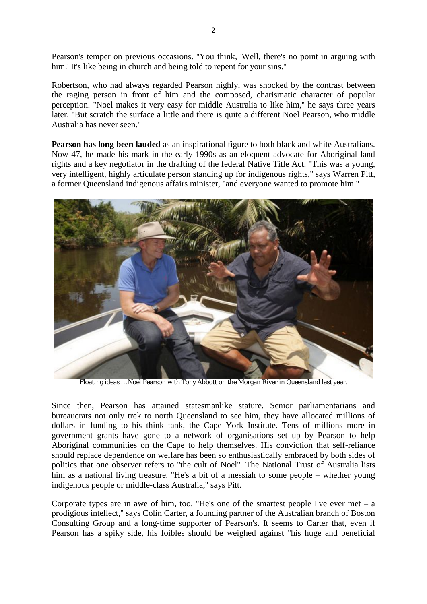Pearson's temper on previous occasions. ''You think, 'Well, there's no point in arguing with him.' It's like being in church and being told to repent for your sins."

Robertson, who had always regarded Pearson highly, was shocked by the contrast between the raging person in front of him and the composed, charismatic character of popular perception. ''Noel makes it very easy for middle Australia to like him,'' he says three years later. ''But scratch the surface a little and there is quite a different Noel Pearson, who middle Australia has never seen.''

**Pearson has long been lauded** as an inspirational figure to both black and white Australians. Now 47, he made his mark in the early 1990s as an eloquent advocate for Aboriginal land rights and a key negotiator in the drafting of the federal Native Title Act. ''This was a young, very intelligent, highly articulate person standing up for indigenous rights,'' says Warren Pitt, a former Queensland indigenous affairs minister, ''and everyone wanted to promote him.''



Floating ideas … Noel Pearson with Tony Abbott on the Morgan River in Queensland last year.

Since then, Pearson has attained statesmanlike stature. Senior parliamentarians and bureaucrats not only trek to north Queensland to see him, they have allocated millions of dollars in funding to his think tank, the Cape York Institute. Tens of millions more in government grants have gone to a network of organisations set up by Pearson to help Aboriginal communities on the Cape to help themselves. His conviction that self-reliance should replace dependence on welfare has been so enthusiastically embraced by both sides of politics that one observer refers to ''the cult of Noel''. The National Trust of Australia lists him as a national living treasure. ''He's a bit of a messiah to some people – whether young indigenous people or middle-class Australia,'' says Pitt.

Corporate types are in awe of him, too. "He's one of the smartest people I've ever met  $-$  a prodigious intellect,'' says Colin Carter, a founding partner of the Australian branch of Boston Consulting Group and a long-time supporter of Pearson's. It seems to Carter that, even if Pearson has a spiky side, his foibles should be weighed against ''his huge and beneficial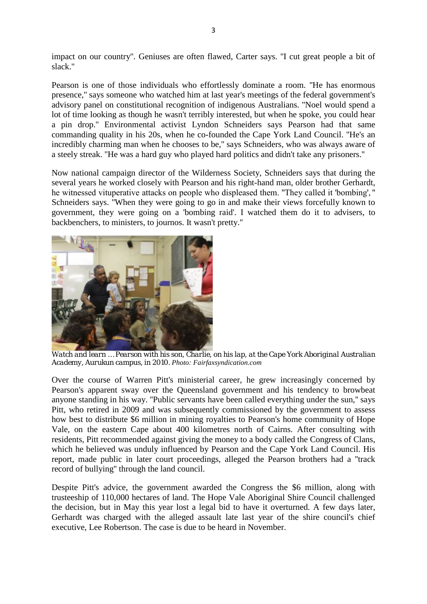impact on our country''. Geniuses are often flawed, Carter says. ''I cut great people a bit of slack.''

Pearson is one of those individuals who effortlessly dominate a room. ''He has enormous presence,'' says someone who watched him at last year's meetings of the federal government's advisory panel on constitutional recognition of indigenous Australians. ''Noel would spend a lot of time looking as though he wasn't terribly interested, but when he spoke, you could hear a pin drop.'' Environmental activist Lyndon Schneiders says Pearson had that same commanding quality in his 20s, when he co-founded the Cape York Land Council. ''He's an incredibly charming man when he chooses to be,'' says Schneiders, who was always aware of a steely streak. ''He was a hard guy who played hard politics and didn't take any prisoners.''

Now national campaign director of the Wilderness Society, Schneiders says that during the several years he worked closely with Pearson and his right-hand man, older brother Gerhardt, he witnessed vituperative attacks on people who displeased them. "They called it 'bombing', " Schneiders says. ''When they were going to go in and make their views forcefully known to government, they were going on a 'bombing raid'. I watched them do it to advisers, to backbenchers, to ministers, to journos. It wasn't pretty.''



*Watch and learn … Pearson with his son, Charlie, on his lap, at the Cape York Aboriginal Australian Academy, Aurukun campus, in 2010. Photo: Fairfaxsyndication.com*

Over the course of Warren Pitt's ministerial career, he grew increasingly concerned by Pearson's apparent sway over the Queensland government and his tendency to browbeat anyone standing in his way. ''Public servants have been called everything under the sun,'' says Pitt, who retired in 2009 and was subsequently commissioned by the government to assess how best to distribute \$6 million in mining royalties to Pearson's home community of Hope Vale, on the eastern Cape about 400 kilometres north of Cairns. After consulting with residents, Pitt recommended against giving the money to a body called the Congress of Clans, which he believed was unduly influenced by Pearson and the Cape York Land Council. His report, made public in later court proceedings, alleged the Pearson brothers had a ''track record of bullying'' through the land council.

Despite Pitt's advice, the government awarded the Congress the \$6 million, along with trusteeship of 110,000 hectares of land. The Hope Vale Aboriginal Shire Council challenged the decision, but in May this year lost a legal bid to have it overturned. A few days later, Gerhardt was charged with the alleged assault late last year of the shire council's chief executive, Lee Robertson. The case is due to be heard in November.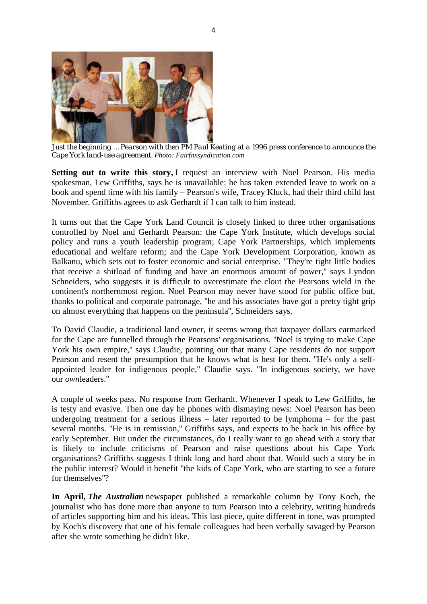

*Just the beginning … Pearson with then PM Paul Keating at a 1996 press conference to announce the Cape York land-use agreement. Photo: Fairfaxsyndication.com*

**Setting out to write this story,** I request an interview with Noel Pearson. His media spokesman, Lew Griffiths, says he is unavailable: he has taken extended leave to work on a book and spend time with his family – Pearson's wife, Tracey Kluck, had their third child last November. Griffiths agrees to ask Gerhardt if I can talk to him instead.

It turns out that the Cape York Land Council is closely linked to three other organisations controlled by Noel and Gerhardt Pearson: the Cape York Institute, which develops social policy and runs a youth leadership program; Cape York Partnerships, which implements educational and welfare reform; and the Cape York Development Corporation, known as Balkanu, which sets out to foster economic and social enterprise. ''They're tight little bodies that receive a shitload of funding and have an enormous amount of power,'' says Lyndon Schneiders, who suggests it is difficult to overestimate the clout the Pearsons wield in the continent's northernmost region. Noel Pearson may never have stood for public office but, thanks to political and corporate patronage, ''he and his associates have got a pretty tight grip on almost everything that happens on the peninsula'', Schneiders says.

To David Claudie, a traditional land owner, it seems wrong that taxpayer dollars earmarked for the Cape are funnelled through the Pearsons' organisations. ''Noel is trying to make Cape York his own empire,'' says Claudie, pointing out that many Cape residents do not support Pearson and resent the presumption that he knows what is best for them. ''He's only a selfappointed leader for indigenous people,'' Claudie says. ''In indigenous society, we have our *own*leaders.''

A couple of weeks pass. No response from Gerhardt. Whenever I speak to Lew Griffiths, he is testy and evasive. Then one day he phones with dismaying news: Noel Pearson has been undergoing treatment for a serious illness – later reported to be lymphoma – for the past several months. ''He is in remission,'' Griffiths says, and expects to be back in his office by early September. But under the circumstances, do I really want to go ahead with a story that is likely to include criticisms of Pearson and raise questions about his Cape York organisations? Griffiths suggests I think long and hard about that. Would such a story be in the public interest? Would it benefit ''the kids of Cape York, who are starting to see a future for themselves''?

**In April,** *The Australian* newspaper published a remarkable column by Tony Koch, the journalist who has done more than anyone to turn Pearson into a celebrity, writing hundreds of articles supporting him and his ideas. This last piece, quite different in tone, was prompted by Koch's discovery that one of his female colleagues had been verbally savaged by Pearson after she wrote something he didn't like.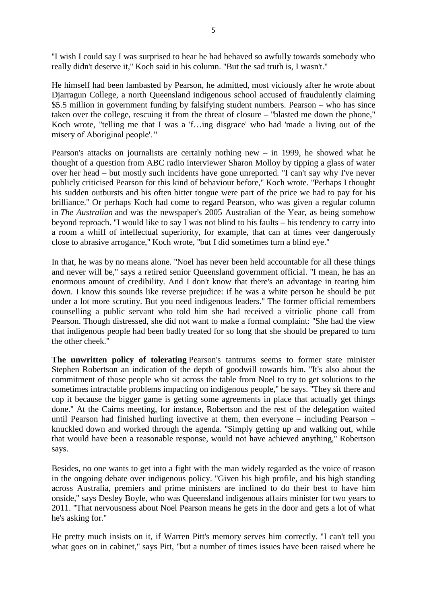''I wish I could say I was surprised to hear he had behaved so awfully towards somebody who really didn't deserve it,'' Koch said in his column. ''But the sad truth is, I wasn't.''

He himself had been lambasted by Pearson, he admitted, most viciously after he wrote about Djarragun College, a north Queensland indigenous school accused of fraudulently claiming \$5.5 million in government funding by falsifying student numbers. Pearson – who has since taken over the college, rescuing it from the threat of closure – ''blasted me down the phone,'' Koch wrote, ''telling me that I was a 'f…ing disgrace' who had 'made a living out of the misery of Aboriginal people'. "

Pearson's attacks on journalists are certainly nothing new – in 1999, he showed what he thought of a question from ABC radio interviewer Sharon Molloy by tipping a glass of water over her head – but mostly such incidents have gone unreported. ''I can't say why I've never publicly criticised Pearson for this kind of behaviour before,'' Koch wrote. ''Perhaps I thought his sudden outbursts and his often bitter tongue were part of the price we had to pay for his brilliance.'' Or perhaps Koch had come to regard Pearson, who was given a regular column in *The Australian* and was the newspaper's 2005 Australian of the Year, as being somehow beyond reproach. ''I would like to say I was not blind to his faults – his tendency to carry into a room a whiff of intellectual superiority, for example, that can at times veer dangerously close to abrasive arrogance,'' Koch wrote, ''but I did sometimes turn a blind eye.''

In that, he was by no means alone. ''Noel has never been held accountable for all these things and never will be,'' says a retired senior Queensland government official. ''I mean, he has an enormous amount of credibility. And I don't know that there's an advantage in tearing him down. I know this sounds like reverse prejudice: if he was a white person he should be put under a lot more scrutiny. But you need indigenous leaders.'' The former official remembers counselling a public servant who told him she had received a vitriolic phone call from Pearson. Though distressed, she did not want to make a formal complaint: ''She had the view that indigenous people had been badly treated for so long that she should be prepared to turn the other cheek.''

**The unwritten policy of tolerating** Pearson's tantrums seems to former state minister Stephen Robertson an indication of the depth of goodwill towards him. ''It's also about the commitment of those people who sit across the table from Noel to try to get solutions to the sometimes intractable problems impacting on indigenous people,'' he says. ''They sit there and cop it because the bigger game is getting some agreements in place that actually get things done.'' At the Cairns meeting, for instance, Robertson and the rest of the delegation waited until Pearson had finished hurling invective at them, then everyone – including Pearson – knuckled down and worked through the agenda. ''Simply getting up and walking out, while that would have been a reasonable response, would not have achieved anything,'' Robertson says.

Besides, no one wants to get into a fight with the man widely regarded as the voice of reason in the ongoing debate over indigenous policy. ''Given his high profile, and his high standing across Australia, premiers and prime ministers are inclined to do their best to have him onside,'' says Desley Boyle, who was Queensland indigenous affairs minister for two years to 2011. ''That nervousness about Noel Pearson means he gets in the door and gets a lot of what he's asking for.''

He pretty much insists on it, if Warren Pitt's memory serves him correctly. ''I can't tell you what goes on in cabinet,'' says Pitt, ''but a number of times issues have been raised where he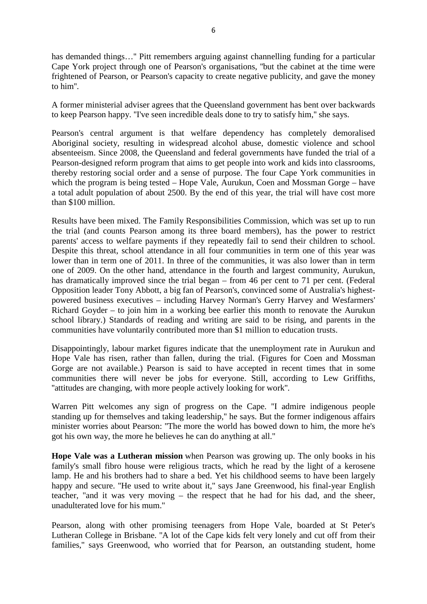has demanded things…'' Pitt remembers arguing against channelling funding for a particular Cape York project through one of Pearson's organisations, ''but the cabinet at the time were frightened of Pearson, or Pearson's capacity to create negative publicity, and gave the money to him''.

A former ministerial adviser agrees that the Queensland government has bent over backwards to keep Pearson happy. ''I've seen incredible deals done to try to satisfy him,'' she says.

Pearson's central argument is that welfare dependency has completely demoralised Aboriginal society, resulting in widespread alcohol abuse, domestic violence and school absenteeism. Since 2008, the Queensland and federal governments have funded the trial of a Pearson-designed reform program that aims to get people into work and kids into classrooms, thereby restoring social order and a sense of purpose. The four Cape York communities in which the program is being tested – Hope Vale, Aurukun, Coen and Mossman Gorge – have a total adult population of about 2500. By the end of this year, the trial will have cost more than \$100 million.

Results have been mixed. The Family Responsibilities Commission, which was set up to run the trial (and counts Pearson among its three board members), has the power to restrict parents' access to welfare payments if they repeatedly fail to send their children to school. Despite this threat, school attendance in all four communities in term one of this year was lower than in term one of 2011. In three of the communities, it was also lower than in term one of 2009. On the other hand, attendance in the fourth and largest community, Aurukun, has dramatically improved since the trial began – from 46 per cent to 71 per cent. (Federal Opposition leader Tony Abbott, a big fan of Pearson's, convinced some of Australia's highestpowered business executives – including Harvey Norman's Gerry Harvey and Wesfarmers' Richard Goyder – to join him in a working bee earlier this month to renovate the Aurukun school library.) Standards of reading and writing are said to be rising, and parents in the communities have voluntarily contributed more than \$1 million to education trusts.

Disappointingly, labour market figures indicate that the unemployment rate in Aurukun and Hope Vale has risen, rather than fallen, during the trial. (Figures for Coen and Mossman Gorge are not available.) Pearson is said to have accepted in recent times that in some communities there will never be jobs for everyone. Still, according to Lew Griffiths, ''attitudes are changing, with more people actively looking for work''.

Warren Pitt welcomes any sign of progress on the Cape. ''I admire indigenous people standing up for themselves and taking leadership,'' he says. But the former indigenous affairs minister worries about Pearson: ''The more the world has bowed down to him, the more he's got his own way, the more he believes he can do anything at all.''

**Hope Vale was a Lutheran mission** when Pearson was growing up. The only books in his family's small fibro house were religious tracts, which he read by the light of a kerosene lamp. He and his brothers had to share a bed. Yet his childhood seems to have been largely happy and secure. "He used to write about it," says Jane Greenwood, his final-year English teacher, ''and it was very moving – the respect that he had for his dad, and the sheer, unadulterated love for his mum.''

Pearson, along with other promising teenagers from Hope Vale, boarded at St Peter's Lutheran College in Brisbane. ''A lot of the Cape kids felt very lonely and cut off from their families,'' says Greenwood, who worried that for Pearson, an outstanding student, home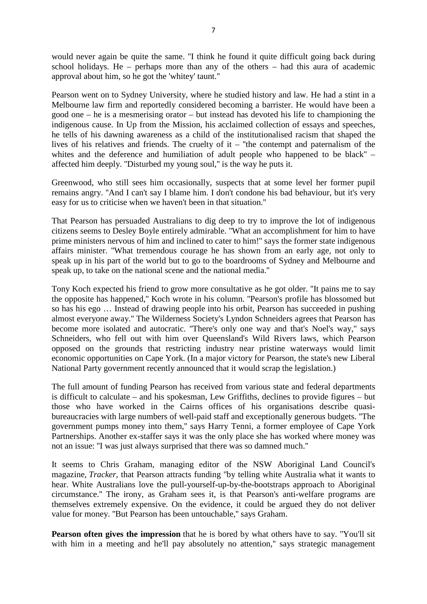would never again be quite the same. "I think he found it quite difficult going back during school holidays. He – perhaps more than any of the others – had this aura of academic approval about him, so he got the 'whitey' taunt.''

Pearson went on to Sydney University, where he studied history and law. He had a stint in a Melbourne law firm and reportedly considered becoming a barrister. He would have been a good one – he is a mesmerising orator – but instead has devoted his life to championing the indigenous cause. In Up from the Mission, his acclaimed collection of essays and speeches, he tells of his dawning awareness as a child of the institutionalised racism that shaped the lives of his relatives and friends. The cruelty of it – ''the contempt and paternalism of the whites and the deference and humiliation of adult people who happened to be black" – affected him deeply. ''Disturbed my young soul,'' is the way he puts it.

Greenwood, who still sees him occasionally, suspects that at some level her former pupil remains angry. ''And I can't say I blame him. I don't condone his bad behaviour, but it's very easy for us to criticise when we haven't been in that situation.''

That Pearson has persuaded Australians to dig deep to try to improve the lot of indigenous citizens seems to Desley Boyle entirely admirable. ''What an accomplishment for him to have prime ministers nervous of him and inclined to cater to him!'' says the former state indigenous affairs minister. ''What tremendous courage he has shown from an early age, not only to speak up in his part of the world but to go to the boardrooms of Sydney and Melbourne and speak up, to take on the national scene and the national media.''

Tony Koch expected his friend to grow more consultative as he got older. ''It pains me to say the opposite has happened,'' Koch wrote in his column. ''Pearson's profile has blossomed but so has his ego … Instead of drawing people into his orbit, Pearson has succeeded in pushing almost everyone away.'' The Wilderness Society's Lyndon Schneiders agrees that Pearson has become more isolated and autocratic. ''There's only one way and that's Noel's way,'' says Schneiders, who fell out with him over Queensland's Wild Rivers laws, which Pearson opposed on the grounds that restricting industry near pristine waterways would limit economic opportunities on Cape York. (In a major victory for Pearson, the state's new Liberal National Party government recently announced that it would scrap the legislation.)

The full amount of funding Pearson has received from various state and federal departments is difficult to calculate – and his spokesman, Lew Griffiths, declines to provide figures – but those who have worked in the Cairns offices of his organisations describe quasibureaucracies with large numbers of well-paid staff and exceptionally generous budgets. ''The government pumps money into them,'' says Harry Tenni, a former employee of Cape York Partnerships. Another ex-staffer says it was the only place she has worked where money was not an issue: ''I was just always surprised that there was so damned much.''

It seems to Chris Graham, managing editor of the NSW Aboriginal Land Council's magazine, *Tracker*, that Pearson attracts funding ''by telling white Australia what it wants to hear. White Australians love the pull-yourself-up-by-the-bootstraps approach to Aboriginal circumstance.'' The irony, as Graham sees it, is that Pearson's anti-welfare programs are themselves extremely expensive. On the evidence, it could be argued they do not deliver value for money. ''But Pearson has been untouchable,'' says Graham.

**Pearson often gives the impression** that he is bored by what others have to say. ''You'll sit with him in a meeting and he'll pay absolutely no attention," says strategic management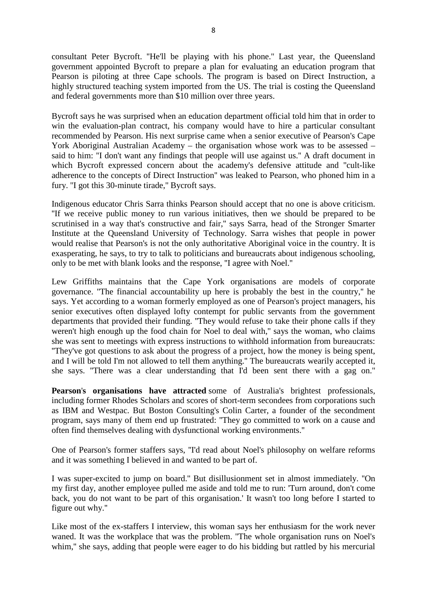consultant Peter Bycroft. ''He'll be playing with his phone.'' Last year, the Queensland government appointed Bycroft to prepare a plan for evaluating an education program that Pearson is piloting at three Cape schools. The program is based on Direct Instruction, a highly structured teaching system imported from the US. The trial is costing the Queensland and federal governments more than \$10 million over three years.

Bycroft says he was surprised when an education department official told him that in order to win the evaluation-plan contract, his company would have to hire a particular consultant recommended by Pearson. His next surprise came when a senior executive of Pearson's Cape York Aboriginal Australian Academy – the organisation whose work was to be assessed – said to him: ''I don't want any findings that people will use against us.'' A draft document in which Bycroft expressed concern about the academy's defensive attitude and ''cult-like adherence to the concepts of Direct Instruction'' was leaked to Pearson, who phoned him in a fury. ''I got this 30-minute tirade,'' Bycroft says.

Indigenous educator Chris Sarra thinks Pearson should accept that no one is above criticism. ''If we receive public money to run various initiatives, then we should be prepared to be scrutinised in a way that's constructive and fair,'' says Sarra, head of the Stronger Smarter Institute at the Queensland University of Technology. Sarra wishes that people in power would realise that Pearson's is not the only authoritative Aboriginal voice in the country. It is exasperating, he says, to try to talk to politicians and bureaucrats about indigenous schooling, only to be met with blank looks and the response, ''I agree with Noel.''

Lew Griffiths maintains that the Cape York organisations are models of corporate governance. ''The financial accountability up here is probably the best in the country,'' he says. Yet according to a woman formerly employed as one of Pearson's project managers, his senior executives often displayed lofty contempt for public servants from the government departments that provided their funding. ''They would refuse to take their phone calls if they weren't high enough up the food chain for Noel to deal with," says the woman, who claims she was sent to meetings with express instructions to withhold information from bureaucrats: ''They've got questions to ask about the progress of a project, how the money is being spent, and I will be told I'm not allowed to tell them anything.'' The bureaucrats wearily accepted it, she says. ''There was a clear understanding that I'd been sent there with a gag on.''

**Pearson**'**s organisations have attracted** some of Australia's brightest professionals, including former Rhodes Scholars and scores of short-term secondees from corporations such as IBM and Westpac. But Boston Consulting's Colin Carter, a founder of the secondment program, says many of them end up frustrated: ''They go committed to work on a cause and often find themselves dealing with dysfunctional working environments.''

One of Pearson's former staffers says, ''I'd read about Noel's philosophy on welfare reforms and it was something I believed in and wanted to be part of.

I was super-excited to jump on board.'' But disillusionment set in almost immediately. ''On my first day, another employee pulled me aside and told me to run: 'Turn around, don't come back, you do not want to be part of this organisation.' It wasn't too long before I started to figure out why.''

Like most of the ex-staffers I interview, this woman says her enthusiasm for the work never waned. It was the workplace that was the problem. ''The whole organisation runs on Noel's whim," she says, adding that people were eager to do his bidding but rattled by his mercurial